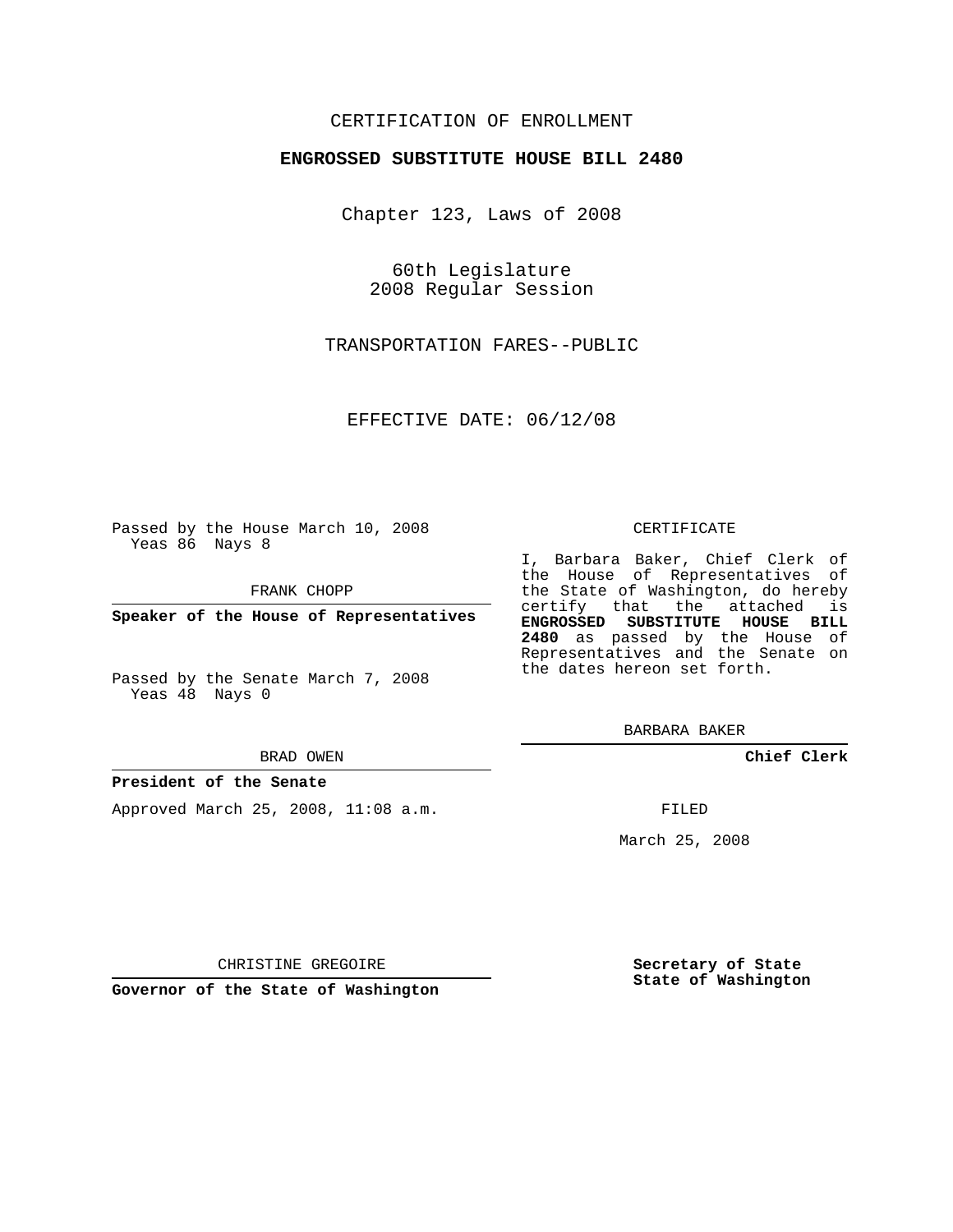## CERTIFICATION OF ENROLLMENT

## **ENGROSSED SUBSTITUTE HOUSE BILL 2480**

Chapter 123, Laws of 2008

60th Legislature 2008 Regular Session

TRANSPORTATION FARES--PUBLIC

EFFECTIVE DATE: 06/12/08

Passed by the House March 10, 2008 Yeas 86 Nays 8

FRANK CHOPP

**Speaker of the House of Representatives**

Passed by the Senate March 7, 2008 Yeas 48 Nays 0

#### BRAD OWEN

### **President of the Senate**

Approved March 25, 2008, 11:08 a.m.

#### CERTIFICATE

I, Barbara Baker, Chief Clerk of the House of Representatives of the State of Washington, do hereby certify that the attached is **ENGROSSED SUBSTITUTE HOUSE BILL 2480** as passed by the House of Representatives and the Senate on the dates hereon set forth.

BARBARA BAKER

**Chief Clerk**

FILED

March 25, 2008

CHRISTINE GREGOIRE

**Governor of the State of Washington**

**Secretary of State State of Washington**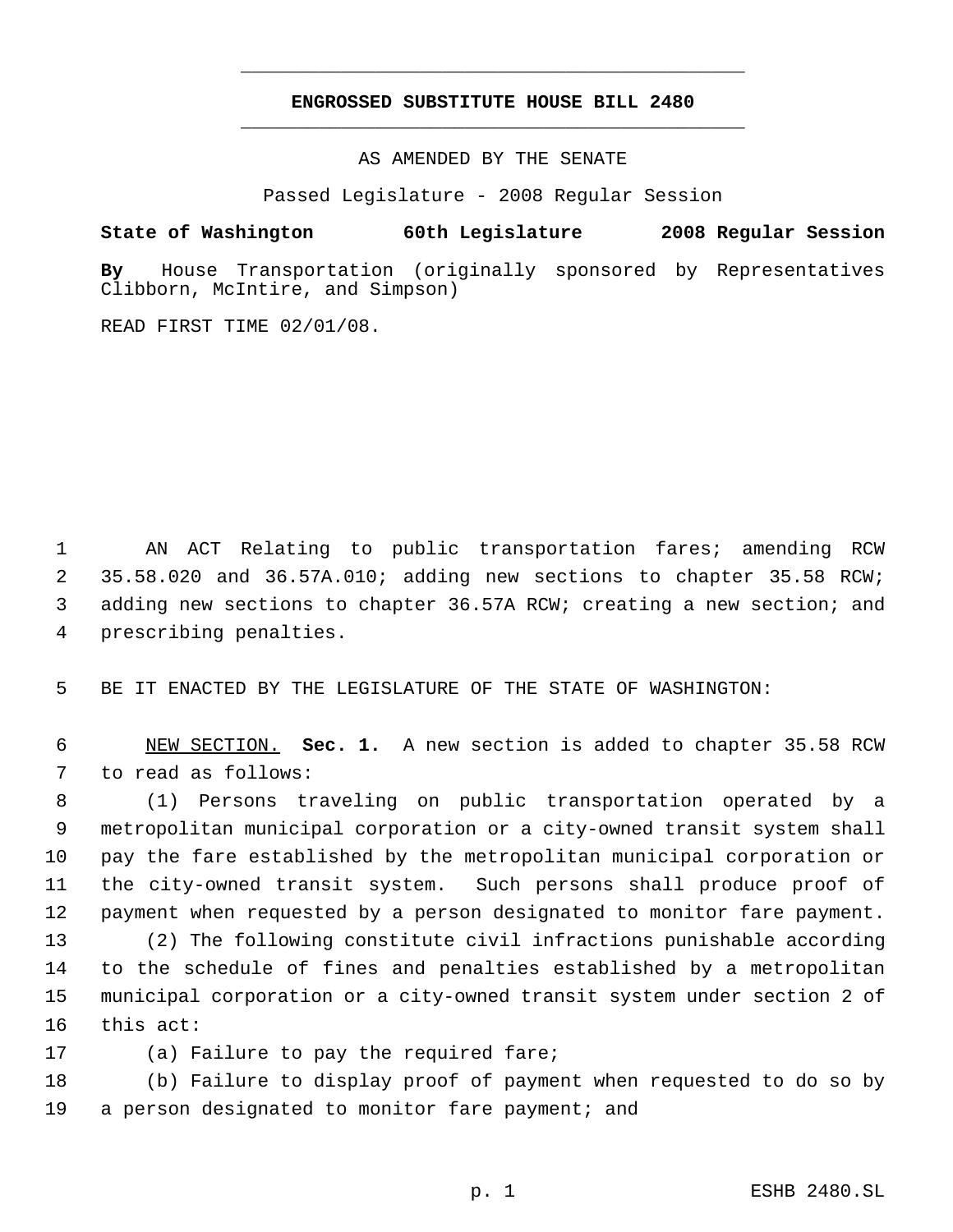# **ENGROSSED SUBSTITUTE HOUSE BILL 2480** \_\_\_\_\_\_\_\_\_\_\_\_\_\_\_\_\_\_\_\_\_\_\_\_\_\_\_\_\_\_\_\_\_\_\_\_\_\_\_\_\_\_\_\_\_

\_\_\_\_\_\_\_\_\_\_\_\_\_\_\_\_\_\_\_\_\_\_\_\_\_\_\_\_\_\_\_\_\_\_\_\_\_\_\_\_\_\_\_\_\_

AS AMENDED BY THE SENATE

Passed Legislature - 2008 Regular Session

**State of Washington 60th Legislature 2008 Regular Session**

**By** House Transportation (originally sponsored by Representatives Clibborn, McIntire, and Simpson)

READ FIRST TIME 02/01/08.

 AN ACT Relating to public transportation fares; amending RCW 35.58.020 and 36.57A.010; adding new sections to chapter 35.58 RCW; adding new sections to chapter 36.57A RCW; creating a new section; and prescribing penalties.

BE IT ENACTED BY THE LEGISLATURE OF THE STATE OF WASHINGTON:

 NEW SECTION. **Sec. 1.** A new section is added to chapter 35.58 RCW to read as follows:

 (1) Persons traveling on public transportation operated by a metropolitan municipal corporation or a city-owned transit system shall pay the fare established by the metropolitan municipal corporation or the city-owned transit system. Such persons shall produce proof of payment when requested by a person designated to monitor fare payment.

 (2) The following constitute civil infractions punishable according to the schedule of fines and penalties established by a metropolitan municipal corporation or a city-owned transit system under section 2 of this act:

(a) Failure to pay the required fare;

 (b) Failure to display proof of payment when requested to do so by 19 a person designated to monitor fare payment; and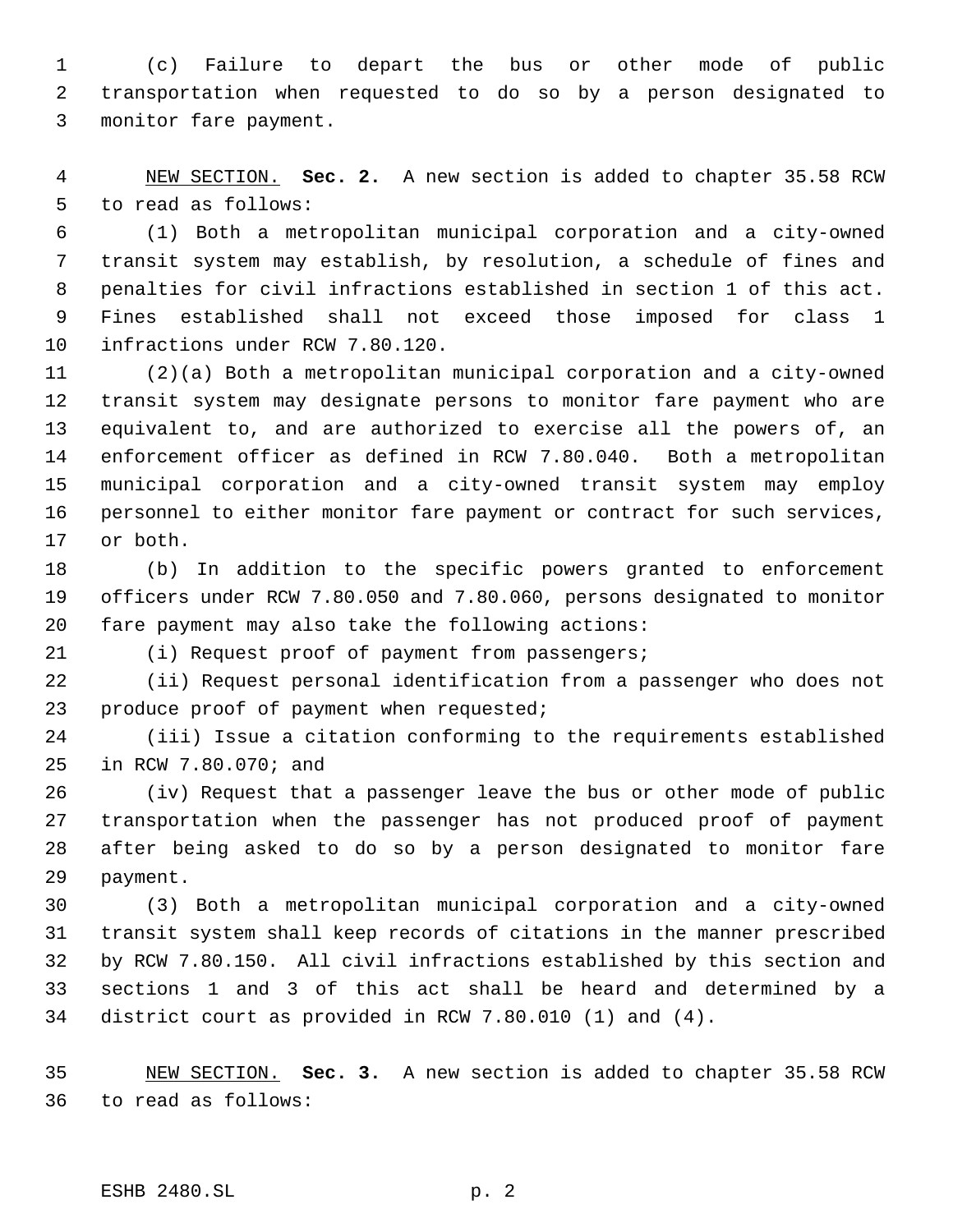(c) Failure to depart the bus or other mode of public transportation when requested to do so by a person designated to monitor fare payment.

 NEW SECTION. **Sec. 2.** A new section is added to chapter 35.58 RCW to read as follows:

 (1) Both a metropolitan municipal corporation and a city-owned transit system may establish, by resolution, a schedule of fines and penalties for civil infractions established in section 1 of this act. Fines established shall not exceed those imposed for class 1 infractions under RCW 7.80.120.

 (2)(a) Both a metropolitan municipal corporation and a city-owned transit system may designate persons to monitor fare payment who are equivalent to, and are authorized to exercise all the powers of, an enforcement officer as defined in RCW 7.80.040. Both a metropolitan municipal corporation and a city-owned transit system may employ personnel to either monitor fare payment or contract for such services, or both.

 (b) In addition to the specific powers granted to enforcement officers under RCW 7.80.050 and 7.80.060, persons designated to monitor fare payment may also take the following actions:

(i) Request proof of payment from passengers;

 (ii) Request personal identification from a passenger who does not produce proof of payment when requested;

 (iii) Issue a citation conforming to the requirements established in RCW 7.80.070; and

 (iv) Request that a passenger leave the bus or other mode of public transportation when the passenger has not produced proof of payment after being asked to do so by a person designated to monitor fare payment.

 (3) Both a metropolitan municipal corporation and a city-owned transit system shall keep records of citations in the manner prescribed by RCW 7.80.150. All civil infractions established by this section and sections 1 and 3 of this act shall be heard and determined by a district court as provided in RCW 7.80.010 (1) and (4).

 NEW SECTION. **Sec. 3.** A new section is added to chapter 35.58 RCW to read as follows:

ESHB 2480.SL p. 2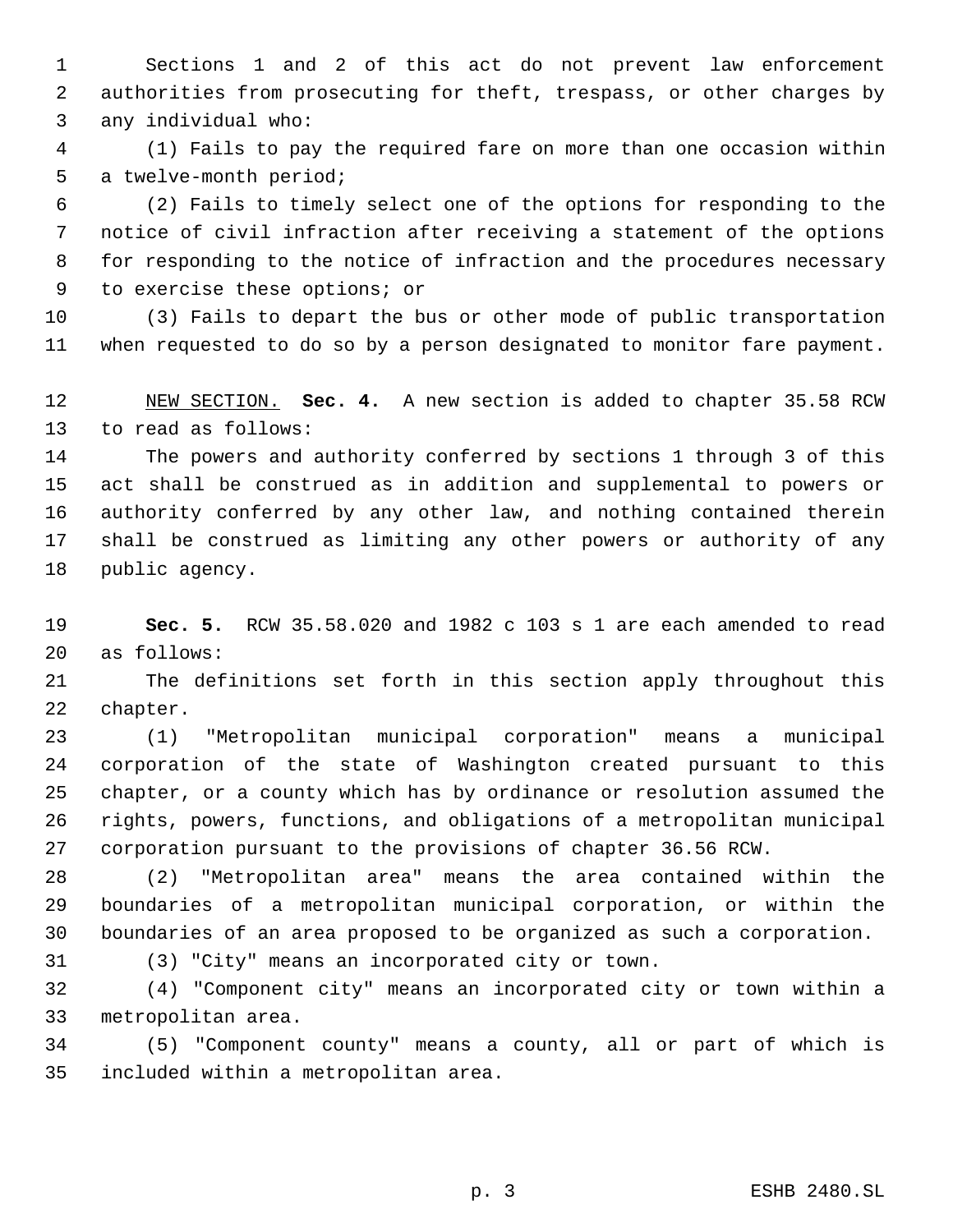Sections 1 and 2 of this act do not prevent law enforcement authorities from prosecuting for theft, trespass, or other charges by any individual who:

 (1) Fails to pay the required fare on more than one occasion within a twelve-month period;

 (2) Fails to timely select one of the options for responding to the notice of civil infraction after receiving a statement of the options for responding to the notice of infraction and the procedures necessary to exercise these options; or

 (3) Fails to depart the bus or other mode of public transportation when requested to do so by a person designated to monitor fare payment.

 NEW SECTION. **Sec. 4.** A new section is added to chapter 35.58 RCW to read as follows:

 The powers and authority conferred by sections 1 through 3 of this act shall be construed as in addition and supplemental to powers or authority conferred by any other law, and nothing contained therein shall be construed as limiting any other powers or authority of any public agency.

 **Sec. 5.** RCW 35.58.020 and 1982 c 103 s 1 are each amended to read as follows:

 The definitions set forth in this section apply throughout this chapter.

 (1) "Metropolitan municipal corporation" means a municipal corporation of the state of Washington created pursuant to this chapter, or a county which has by ordinance or resolution assumed the rights, powers, functions, and obligations of a metropolitan municipal corporation pursuant to the provisions of chapter 36.56 RCW.

 (2) "Metropolitan area" means the area contained within the boundaries of a metropolitan municipal corporation, or within the boundaries of an area proposed to be organized as such a corporation.

(3) "City" means an incorporated city or town.

 (4) "Component city" means an incorporated city or town within a metropolitan area.

 (5) "Component county" means a county, all or part of which is included within a metropolitan area.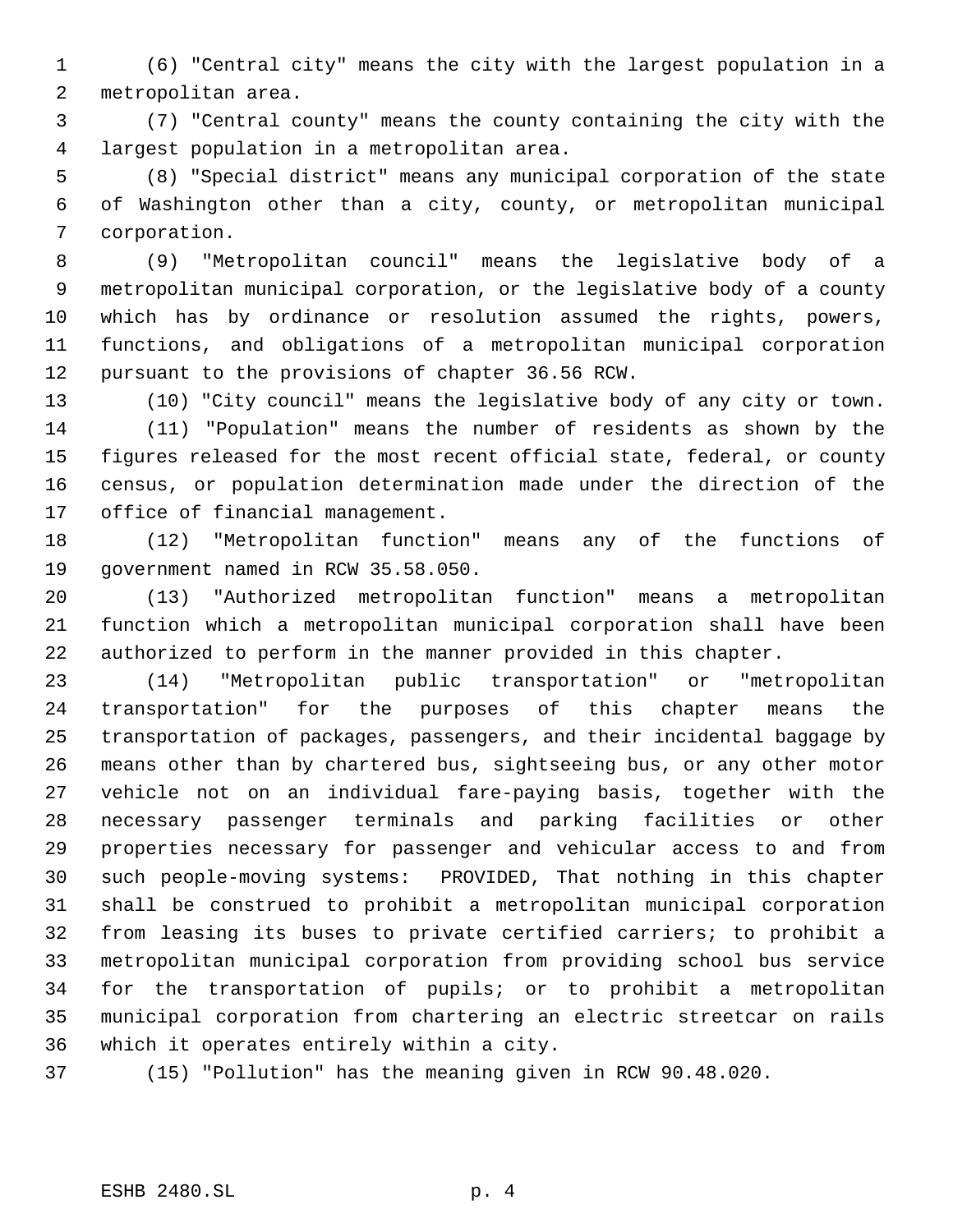(6) "Central city" means the city with the largest population in a metropolitan area.

 (7) "Central county" means the county containing the city with the largest population in a metropolitan area.

 (8) "Special district" means any municipal corporation of the state of Washington other than a city, county, or metropolitan municipal corporation.

 (9) "Metropolitan council" means the legislative body of a metropolitan municipal corporation, or the legislative body of a county which has by ordinance or resolution assumed the rights, powers, functions, and obligations of a metropolitan municipal corporation pursuant to the provisions of chapter 36.56 RCW.

 (10) "City council" means the legislative body of any city or town. (11) "Population" means the number of residents as shown by the figures released for the most recent official state, federal, or county census, or population determination made under the direction of the office of financial management.

 (12) "Metropolitan function" means any of the functions of government named in RCW 35.58.050.

 (13) "Authorized metropolitan function" means a metropolitan function which a metropolitan municipal corporation shall have been authorized to perform in the manner provided in this chapter.

 (14) "Metropolitan public transportation" or "metropolitan transportation" for the purposes of this chapter means the transportation of packages, passengers, and their incidental baggage by means other than by chartered bus, sightseeing bus, or any other motor vehicle not on an individual fare-paying basis, together with the necessary passenger terminals and parking facilities or other properties necessary for passenger and vehicular access to and from such people-moving systems: PROVIDED, That nothing in this chapter shall be construed to prohibit a metropolitan municipal corporation from leasing its buses to private certified carriers; to prohibit a metropolitan municipal corporation from providing school bus service for the transportation of pupils; or to prohibit a metropolitan municipal corporation from chartering an electric streetcar on rails which it operates entirely within a city.

(15) "Pollution" has the meaning given in RCW 90.48.020.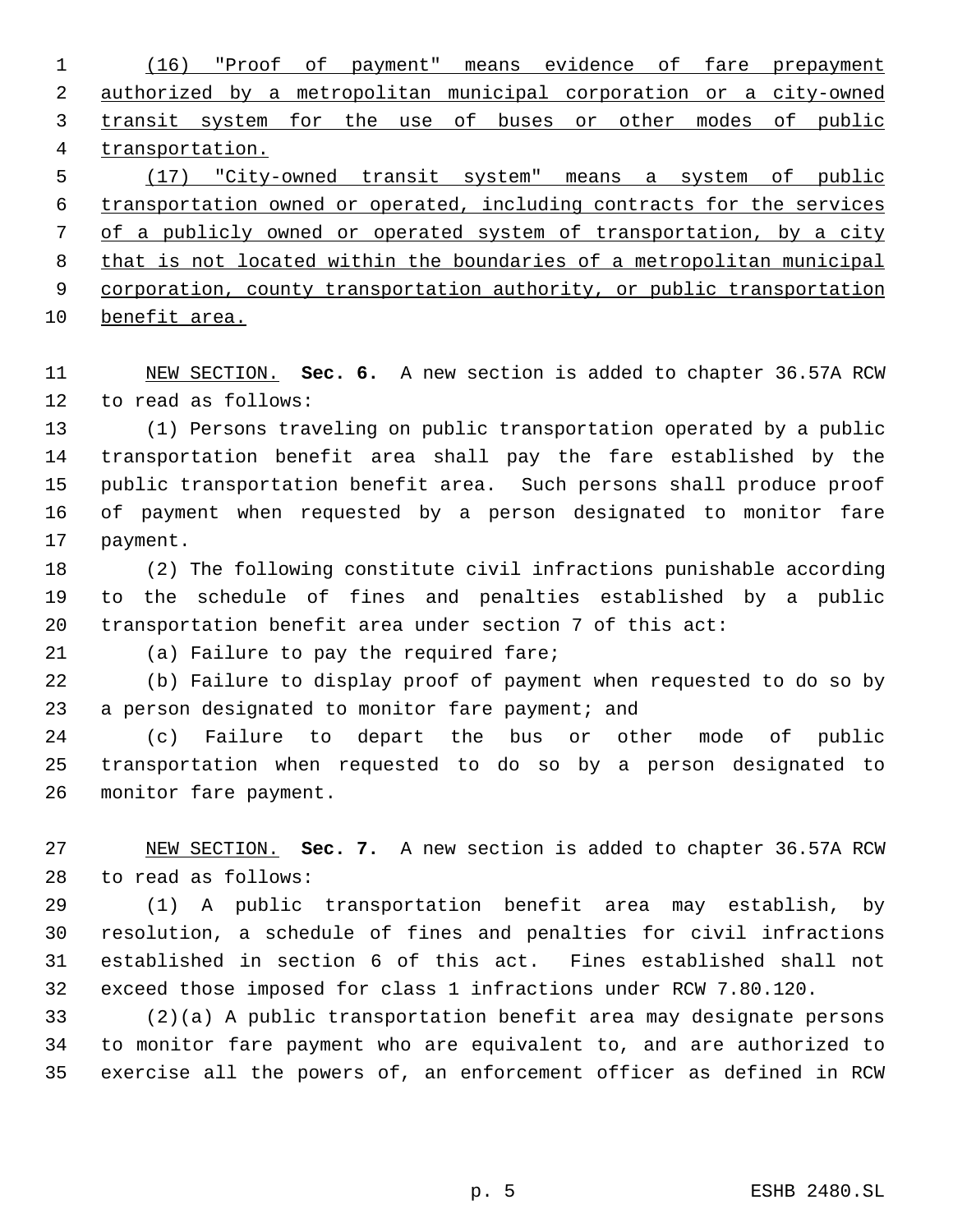(16) "Proof of payment" means evidence of fare prepayment authorized by a metropolitan municipal corporation or a city-owned transit system for the use of buses or other modes of public transportation. (17) "City-owned transit system" means a system of public

 transportation owned or operated, including contracts for the services of a publicly owned or operated system of transportation, by a city that is not located within the boundaries of a metropolitan municipal 9 corporation, county transportation authority, or public transportation

benefit area.

 NEW SECTION. **Sec. 6.** A new section is added to chapter 36.57A RCW to read as follows:

 (1) Persons traveling on public transportation operated by a public transportation benefit area shall pay the fare established by the public transportation benefit area. Such persons shall produce proof of payment when requested by a person designated to monitor fare payment.

 (2) The following constitute civil infractions punishable according to the schedule of fines and penalties established by a public transportation benefit area under section 7 of this act:

(a) Failure to pay the required fare;

 (b) Failure to display proof of payment when requested to do so by 23 a person designated to monitor fare payment; and

 (c) Failure to depart the bus or other mode of public transportation when requested to do so by a person designated to monitor fare payment.

 NEW SECTION. **Sec. 7.** A new section is added to chapter 36.57A RCW to read as follows:

 (1) A public transportation benefit area may establish, by resolution, a schedule of fines and penalties for civil infractions established in section 6 of this act. Fines established shall not exceed those imposed for class 1 infractions under RCW 7.80.120.

 (2)(a) A public transportation benefit area may designate persons to monitor fare payment who are equivalent to, and are authorized to exercise all the powers of, an enforcement officer as defined in RCW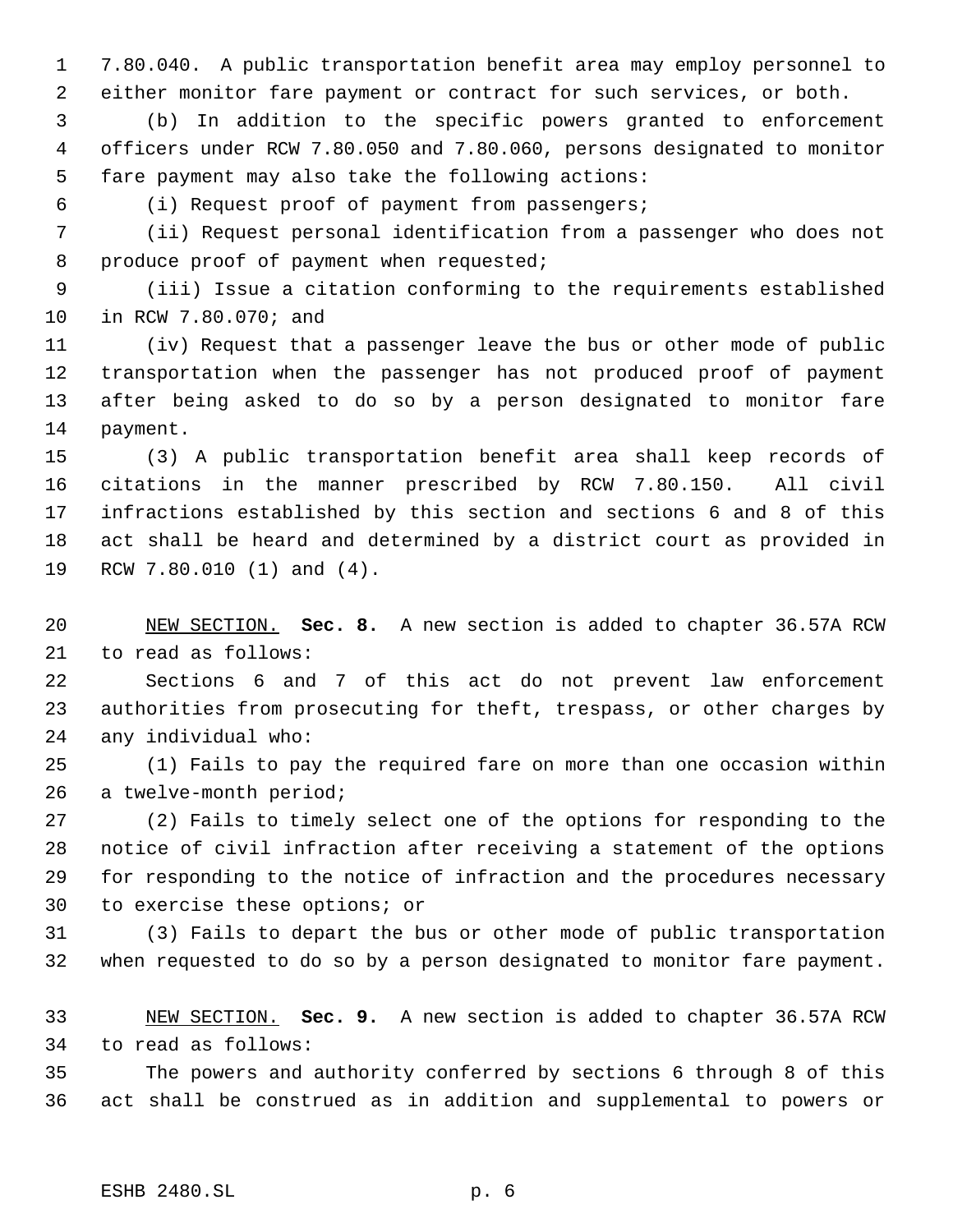7.80.040. A public transportation benefit area may employ personnel to either monitor fare payment or contract for such services, or both.

 (b) In addition to the specific powers granted to enforcement officers under RCW 7.80.050 and 7.80.060, persons designated to monitor fare payment may also take the following actions:

(i) Request proof of payment from passengers;

 (ii) Request personal identification from a passenger who does not 8 produce proof of payment when requested;

 (iii) Issue a citation conforming to the requirements established in RCW 7.80.070; and

 (iv) Request that a passenger leave the bus or other mode of public transportation when the passenger has not produced proof of payment after being asked to do so by a person designated to monitor fare payment.

 (3) A public transportation benefit area shall keep records of citations in the manner prescribed by RCW 7.80.150. All civil infractions established by this section and sections 6 and 8 of this act shall be heard and determined by a district court as provided in RCW 7.80.010 (1) and (4).

 NEW SECTION. **Sec. 8.** A new section is added to chapter 36.57A RCW to read as follows:

 Sections 6 and 7 of this act do not prevent law enforcement authorities from prosecuting for theft, trespass, or other charges by any individual who:

 (1) Fails to pay the required fare on more than one occasion within a twelve-month period;

 (2) Fails to timely select one of the options for responding to the notice of civil infraction after receiving a statement of the options for responding to the notice of infraction and the procedures necessary to exercise these options; or

 (3) Fails to depart the bus or other mode of public transportation when requested to do so by a person designated to monitor fare payment.

 NEW SECTION. **Sec. 9.** A new section is added to chapter 36.57A RCW to read as follows:

 The powers and authority conferred by sections 6 through 8 of this act shall be construed as in addition and supplemental to powers or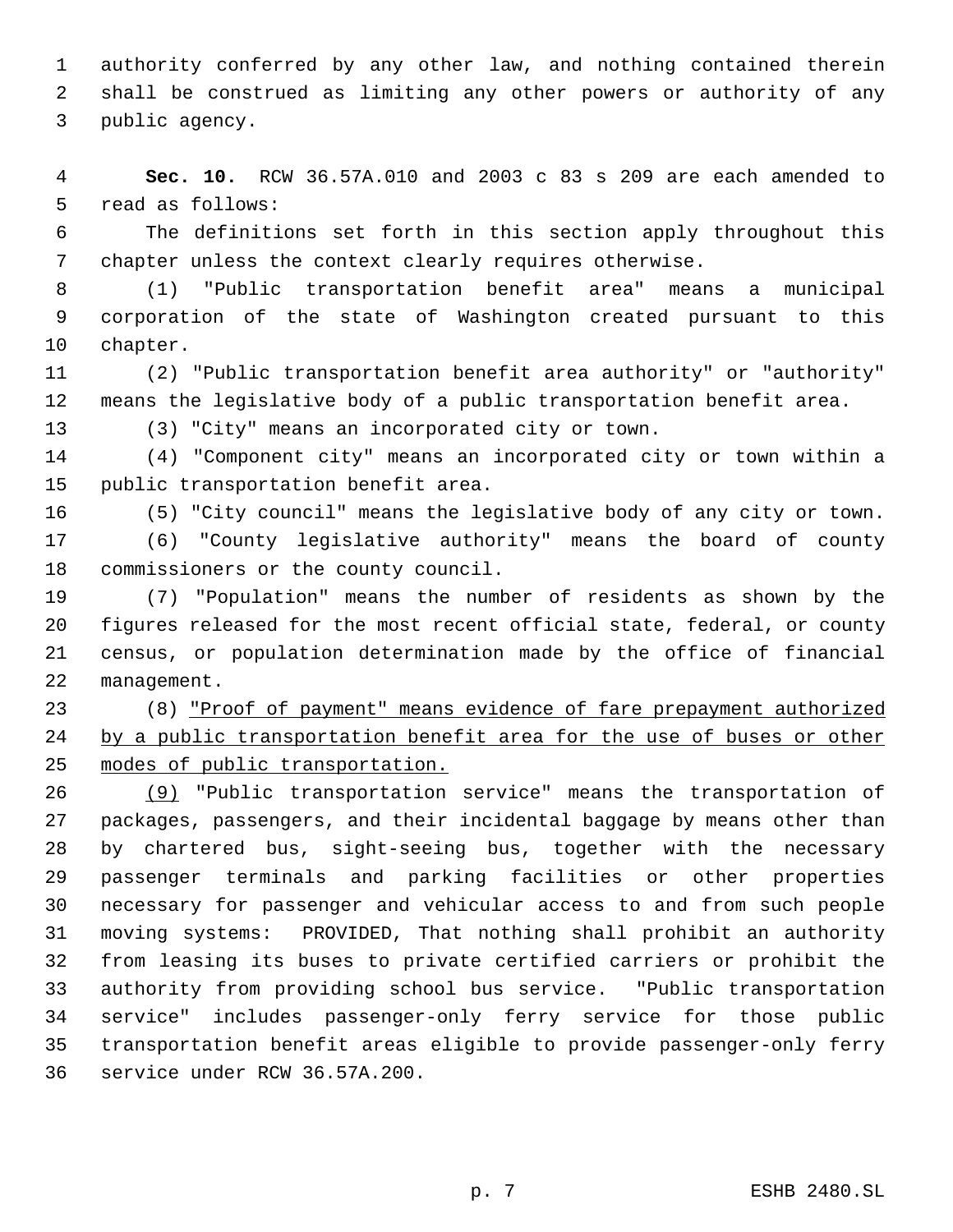authority conferred by any other law, and nothing contained therein shall be construed as limiting any other powers or authority of any public agency.

 **Sec. 10.** RCW 36.57A.010 and 2003 c 83 s 209 are each amended to read as follows:

 The definitions set forth in this section apply throughout this chapter unless the context clearly requires otherwise.

 (1) "Public transportation benefit area" means a municipal corporation of the state of Washington created pursuant to this chapter.

 (2) "Public transportation benefit area authority" or "authority" means the legislative body of a public transportation benefit area.

(3) "City" means an incorporated city or town.

 (4) "Component city" means an incorporated city or town within a public transportation benefit area.

(5) "City council" means the legislative body of any city or town.

 (6) "County legislative authority" means the board of county commissioners or the county council.

 (7) "Population" means the number of residents as shown by the figures released for the most recent official state, federal, or county census, or population determination made by the office of financial management.

 (8) "Proof of payment" means evidence of fare prepayment authorized by a public transportation benefit area for the use of buses or other modes of public transportation.

 (9) "Public transportation service" means the transportation of packages, passengers, and their incidental baggage by means other than by chartered bus, sight-seeing bus, together with the necessary passenger terminals and parking facilities or other properties necessary for passenger and vehicular access to and from such people moving systems: PROVIDED, That nothing shall prohibit an authority from leasing its buses to private certified carriers or prohibit the authority from providing school bus service. "Public transportation service" includes passenger-only ferry service for those public transportation benefit areas eligible to provide passenger-only ferry service under RCW 36.57A.200.